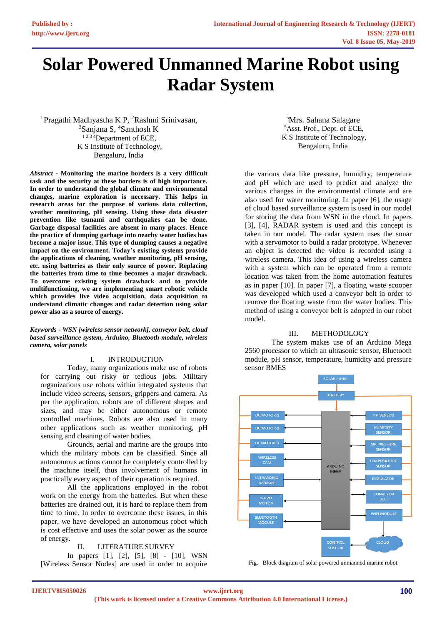# **Solar Powered Unmanned Marine Robot using Radar System**

<sup>1</sup> Pragathi Madhyastha K P, <sup>2</sup>Rashmi Srinivasan, <sup>3</sup>Sanjana S, <sup>4</sup>Santhosh K <sup>1234</sup>Department of ECE, K S Institute of Technology, Bengaluru, India

*Abstract* **- Monitoring the marine borders is a very difficult task and the security at these borders is of high importance. In order to understand the global climate and environmental changes, marine exploration is necessary. This helps in research areas for the purpose of various data collection, weather monitoring, pH sensing. Using these data disaster prevention like tsunami and earthquakes can be done. Garbage disposal facilities are absent in many places. Hence the practice of dumping garbage into nearby water bodies has become a major issue. This type of dumping causes a negative impact on the environment. Today's existing systems provide the applications of cleaning, weather monitoring, pH sensing, etc. using batteries as their only source of power. Replacing the batteries from time to time becomes a major drawback. To overcome existing system drawback and to provide multifunctioning, we are implementing smart robotic vehicle which provides live video acquisition, data acquisition to understand climatic changes and radar detection using solar power also as a source of energy.**

*Keywords - WSN [wireless sensor network], conveyor belt, cloud based surveillance system, Arduino, Bluetooth module, wireless camera, solar panels*

### I. INTRODUCTION

Today, many organizations make use of robots for carrying out risky or tedious jobs. Military organizations use robots within integrated systems that include video screens, sensors, grippers and camera. As per the application, robots are of different shapes and sizes, and may be either autonomous or remote controlled machines. Robots are also used in many other applications such as weather monitoring, pH sensing and cleaning of water bodies.

Grounds, aerial and marine are the groups into which the military robots can be classified. Since all autonomous actions cannot be completely controlled by the machine itself, thus involvement of humans in practically every aspect of their operation is required.

All the applications employed in the robot work on the energy from the batteries. But when these batteries are drained out, it is hard to replace them from time to time. In order to overcome these issues, in this paper, we have developed an autonomous robot which is cost effective and uses the solar power as the source of energy.

#### II. LITERATURE SURVEY

In papers [1], [2], [5], [8] - [10], WSN [Wireless Sensor Nodes] are used in order to acquire

<sup>5</sup>Mrs. Sahana Salagare <sup>5</sup>Asst. Prof., Dept. of ECE, K S Institute of Technology, Bengaluru, India

the various data like pressure, humidity, temperature and pH which are used to predict and analyze the various changes in the environmental climate and are also used for water monitoring. In paper [6], the usage of cloud based surveillance system is used in our model for storing the data from WSN in the cloud. In papers [3], [4], RADAR system is used and this concept is taken in our model. The radar system uses the sonar with a servomotor to build a radar prototype. Whenever an object is detected the video is recorded using a wireless camera. This idea of using a wireless camera with a system which can be operated from a remote location was taken from the home automation features as in paper [10]. In paper [7], a floating waste scooper was developed which used a conveyor belt in order to remove the floating waste from the water bodies. This method of using a conveyor belt is adopted in our robot model.

#### III. METHODOLOGY

The system makes use of an Arduino Mega 2560 processor to which an ultrasonic sensor, Bluetooth module, pH sensor, temperature, humidity and pressure sensor BMES



Fig. Block diagram of solar powered unmanned marine robot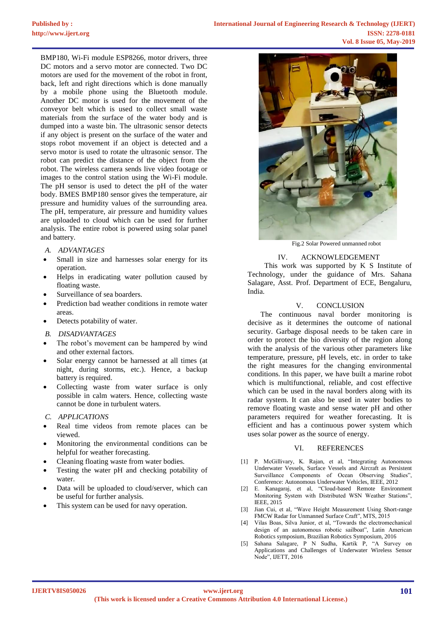BMP180, Wi-Fi module ESP8266, motor drivers, three DC motors and a servo motor are connected. Two DC motors are used for the movement of the robot in front, back, left and right directions which is done manually by a mobile phone using the Bluetooth module. Another DC motor is used for the movement of the conveyor belt which is used to collect small waste materials from the surface of the water body and is dumped into a waste bin. The ultrasonic sensor detects if any object is present on the surface of the water and stops robot movement if an object is detected and a servo motor is used to rotate the ultrasonic sensor. The robot can predict the distance of the object from the robot. The wireless camera sends live video footage or images to the control station using the Wi-Fi module. The pH sensor is used to detect the pH of the water body. BMES BMP180 sensor gives the temperature, air pressure and humidity values of the surrounding area. The pH, temperature, air pressure and humidity values are uploaded to cloud which can be used for further analysis. The entire robot is powered using solar panel and battery.

- *A. ADVANTAGES*
- Small in size and harnesses solar energy for its operation.
- Helps in eradicating water pollution caused by floating waste.
- Surveillance of sea boarders.
- Prediction bad weather conditions in remote water areas.
- Detects potability of water.
- *B. DISADVANTAGES*
- The robot's movement can be hampered by wind and other external factors.
- Solar energy cannot be harnessed at all times (at night, during storms, etc.). Hence, a backup battery is required.
- Collecting waste from water surface is only possible in calm waters. Hence, collecting waste cannot be done in turbulent waters.
- *C. APPLICATIONS*
- Real time videos from remote places can be viewed.
- Monitoring the environmental conditions can be helpful for weather forecasting.
- Cleaning floating waste from water bodies.
- Testing the water pH and checking potability of water.
- Data will be uploaded to cloud/server, which can be useful for further analysis.
- This system can be used for navy operation.



Fig.2 Solar Powered unmanned robot

## IV. ACKNOWLEDGEMENT

This work was supported by K S Institute of Technology, under the guidance of Mrs. Sahana Salagare, Asst. Prof. Department of ECE, Bengaluru, India.

#### V. CONCLUSION

 The continuous naval border monitoring is decisive as it determines the outcome of national security. Garbage disposal needs to be taken care in order to protect the bio diversity of the region along with the analysis of the various other parameters like temperature, pressure, pH levels, etc. in order to take the right measures for the changing environmental conditions. In this paper, we have built a marine robot which is multifunctional, reliable, and cost effective which can be used in the naval borders along with its radar system. It can also be used in water bodies to remove floating waste and sense water pH and other parameters required for weather forecasting. It is efficient and has a continuous power system which uses solar power as the source of energy.

#### VI. REFERENCES

- [1] P. McGillivary, K. Rajan, et al, "Integrating Autonomous Underwater Vessels, Surface Vessels and Aircraft as Persistent Surveillance Components of Ocean Observing Studies", Conference: Autonomous Underwater Vehicles, IEEE, 2012
- [2] E. Kanagaraj, et al, "Cloud-based Remote Environment Monitoring System with Distributed WSN Weather Stations", IEEE, 2015
- [3] Jian Cui, et al, "Wave Height Measurement Using Short-range FMCW Radar for Unmanned Surface Craft", MTS, 2015
- [4] Vilas Boas, Silva Junior, et al, "Towards the electromechanical design of an autonomous robotic sailboat", Latin American Robotics symposium, Brazilian Robotics Symposium, 2016
- Sahana Salagare, P N Sudha, Kartik P, "A Survey on Applications and Challenges of Underwater Wireless Sensor Node", IJETT, 2016